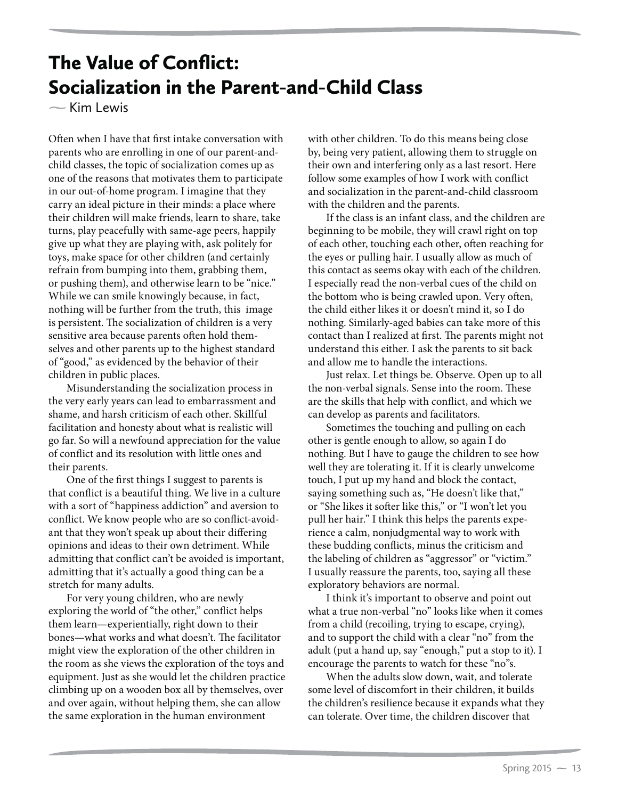## The Value of Conflict: Socialization in the Parent-and-Child Class

**-**Kim Lewis

Often when I have that first intake conversation with parents who are enrolling in one of our parent-andchild classes, the topic of socialization comes up as one of the reasons that motivates them to participate in our out-of-home program. I imagine that they carry an ideal picture in their minds: a place where their children will make friends, learn to share, take turns, play peacefully with same-age peers, happily give up what they are playing with, ask politely for toys, make space for other children (and certainly refrain from bumping into them, grabbing them, or pushing them), and otherwise learn to be "nice." While we can smile knowingly because, in fact, nothing will be further from the truth, this image is persistent. The socialization of children is a very sensitive area because parents often hold themselves and other parents up to the highest standard of "good," as evidenced by the behavior of their children in public places.

Misunderstanding the socialization process in the very early years can lead to embarrassment and shame, and harsh criticism of each other. Skillful facilitation and honesty about what is realistic will go far. So will a newfound appreciation for the value of conflict and its resolution with little ones and their parents.

One of the first things I suggest to parents is that conflict is a beautiful thing. We live in a culture with a sort of "happiness addiction" and aversion to conflict. We know people who are so conflict-avoidant that they won't speak up about their differing opinions and ideas to their own detriment. While admitting that conflict can't be avoided is important, admitting that it's actually a good thing can be a stretch for many adults.

For very young children, who are newly exploring the world of "the other," conflict helps them learn—experientially, right down to their bones—what works and what doesn't. The facilitator might view the exploration of the other children in the room as she views the exploration of the toys and equipment. Just as she would let the children practice climbing up on a wooden box all by themselves, over and over again, without helping them, she can allow the same exploration in the human environment

with other children. To do this means being close by, being very patient, allowing them to struggle on their own and interfering only as a last resort. Here follow some examples of how I work with conflict and socialization in the parent-and-child classroom with the children and the parents.

If the class is an infant class, and the children are beginning to be mobile, they will crawl right on top of each other, touching each other, often reaching for the eyes or pulling hair. I usually allow as much of this contact as seems okay with each of the children. I especially read the non-verbal cues of the child on the bottom who is being crawled upon. Very often, the child either likes it or doesn't mind it, so I do nothing. Similarly-aged babies can take more of this contact than I realized at first. The parents might not understand this either. I ask the parents to sit back and allow me to handle the interactions.

Just relax. Let things be. Observe. Open up to all the non-verbal signals. Sense into the room. These are the skills that help with conflict, and which we can develop as parents and facilitators.

Sometimes the touching and pulling on each other is gentle enough to allow, so again I do nothing. But I have to gauge the children to see how well they are tolerating it. If it is clearly unwelcome touch, I put up my hand and block the contact, saying something such as, "He doesn't like that," or "She likes it softer like this," or "I won't let you pull her hair." I think this helps the parents experience a calm, nonjudgmental way to work with these budding conflicts, minus the criticism and the labeling of children as "aggressor" or "victim." I usually reassure the parents, too, saying all these exploratory behaviors are normal.

I think it's important to observe and point out what a true non-verbal "no" looks like when it comes from a child (recoiling, trying to escape, crying), and to support the child with a clear "no" from the adult (put a hand up, say "enough," put a stop to it). I encourage the parents to watch for these "no"s.

When the adults slow down, wait, and tolerate some level of discomfort in their children, it builds the children's resilience because it expands what they can tolerate. Over time, the children discover that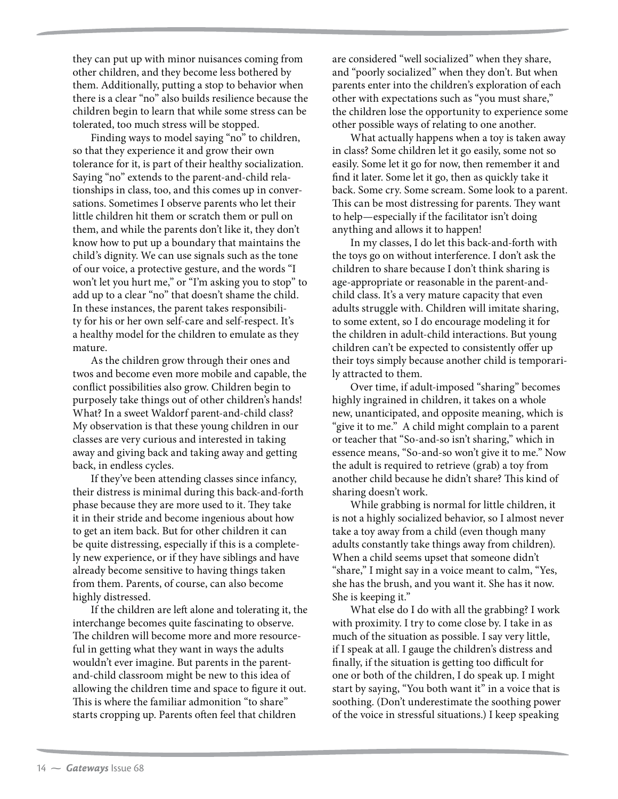they can put up with minor nuisances coming from other children, and they become less bothered by them. Additionally, putting a stop to behavior when there is a clear "no" also builds resilience because the children begin to learn that while some stress can be tolerated, too much stress will be stopped.

Finding ways to model saying "no" to children, so that they experience it and grow their own tolerance for it, is part of their healthy socialization. Saying "no" extends to the parent-and-child relationships in class, too, and this comes up in conversations. Sometimes I observe parents who let their little children hit them or scratch them or pull on them, and while the parents don't like it, they don't know how to put up a boundary that maintains the child's dignity. We can use signals such as the tone of our voice, a protective gesture, and the words "I won't let you hurt me," or "I'm asking you to stop" to add up to a clear "no" that doesn't shame the child. In these instances, the parent takes responsibility for his or her own self-care and self-respect. It's a healthy model for the children to emulate as they mature.

As the children grow through their ones and twos and become even more mobile and capable, the conflict possibilities also grow. Children begin to purposely take things out of other children's hands! What? In a sweet Waldorf parent-and-child class? My observation is that these young children in our classes are very curious and interested in taking away and giving back and taking away and getting back, in endless cycles.

If they've been attending classes since infancy, their distress is minimal during this back-and-forth phase because they are more used to it. They take it in their stride and become ingenious about how to get an item back. But for other children it can be quite distressing, especially if this is a completely new experience, or if they have siblings and have already become sensitive to having things taken from them. Parents, of course, can also become highly distressed.

If the children are left alone and tolerating it, the interchange becomes quite fascinating to observe. The children will become more and more resourceful in getting what they want in ways the adults wouldn't ever imagine. But parents in the parentand-child classroom might be new to this idea of allowing the children time and space to figure it out. This is where the familiar admonition "to share" starts cropping up. Parents often feel that children

are considered "well socialized" when they share, and "poorly socialized" when they don't. But when parents enter into the children's exploration of each other with expectations such as "you must share," the children lose the opportunity to experience some other possible ways of relating to one another.

What actually happens when a toy is taken away in class? Some children let it go easily, some not so easily. Some let it go for now, then remember it and find it later. Some let it go, then as quickly take it back. Some cry. Some scream. Some look to a parent. This can be most distressing for parents. They want to help—especially if the facilitator isn't doing anything and allows it to happen!

In my classes, I do let this back-and-forth with the toys go on without interference. I don't ask the children to share because I don't think sharing is age-appropriate or reasonable in the parent-andchild class. It's a very mature capacity that even adults struggle with. Children will imitate sharing, to some extent, so I do encourage modeling it for the children in adult-child interactions. But young children can't be expected to consistently offer up their toys simply because another child is temporarily attracted to them.

Over time, if adult-imposed "sharing" becomes highly ingrained in children, it takes on a whole new, unanticipated, and opposite meaning, which is "give it to me." A child might complain to a parent or teacher that "So-and-so isn't sharing," which in essence means, "So-and-so won't give it to me." Now the adult is required to retrieve (grab) a toy from another child because he didn't share? This kind of sharing doesn't work.

While grabbing is normal for little children, it is not a highly socialized behavior, so I almost never take a toy away from a child (even though many adults constantly take things away from children). When a child seems upset that someone didn't "share," I might say in a voice meant to calm, "Yes, she has the brush, and you want it. She has it now. She is keeping it."

What else do I do with all the grabbing? I work with proximity. I try to come close by. I take in as much of the situation as possible. I say very little, if I speak at all. I gauge the children's distress and finally, if the situation is getting too difficult for one or both of the children, I do speak up. I might start by saying, "You both want it" in a voice that is soothing. (Don't underestimate the soothing power of the voice in stressful situations.) I keep speaking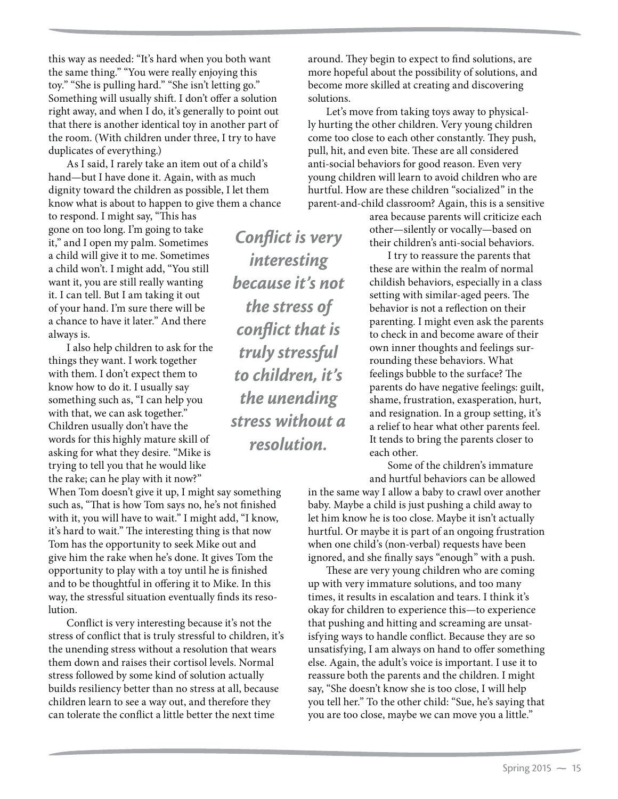this way as needed: "It's hard when you both want the same thing." "You were really enjoying this toy." "She is pulling hard." "She isn't letting go." Something will usually shift. I don't offer a solution right away, and when I do, it's generally to point out that there is another identical toy in another part of the room. (With children under three, I try to have duplicates of everything.)

As I said, I rarely take an item out of a child's hand—but I have done it. Again, with as much dignity toward the children as possible, I let them know what is about to happen to give them a chance

to respond. I might say, "This has gone on too long. I'm going to take it," and I open my palm. Sometimes a child will give it to me. Sometimes a child won't. I might add, "You still want it, you are still really wanting it. I can tell. But I am taking it out of your hand. I'm sure there will be a chance to have it later." And there always is.

I also help children to ask for the things they want. I work together with them. I don't expect them to know how to do it. I usually say something such as, "I can help you with that, we can ask together." Children usually don't have the words for this highly mature skill of asking for what they desire. "Mike is trying to tell you that he would like the rake; can he play with it now?"

When Tom doesn't give it up, I might say something such as, "That is how Tom says no, he's not finished with it, you will have to wait." I might add, "I know, it's hard to wait." The interesting thing is that now Tom has the opportunity to seek Mike out and give him the rake when he's done. It gives Tom the opportunity to play with a toy until he is finished and to be thoughtful in offering it to Mike. In this way, the stressful situation eventually finds its resolution.

Conflict is very interesting because it's not the stress of conflict that is truly stressful to children, it's the unending stress without a resolution that wears them down and raises their cortisol levels. Normal stress followed by some kind of solution actually builds resiliency better than no stress at all, because children learn to see a way out, and therefore they can tolerate the conflict a little better the next time

*Conflict is very interesting because it's not the stress of conflict that is truly stressful to children, it's the unending stress without a resolution.*

around. They begin to expect to find solutions, are more hopeful about the possibility of solutions, and become more skilled at creating and discovering solutions.

Let's move from taking toys away to physically hurting the other children. Very young children come too close to each other constantly. They push, pull, hit, and even bite. These are all considered anti-social behaviors for good reason. Even very young children will learn to avoid children who are hurtful. How are these children "socialized" in the parent-and-child classroom? Again, this is a sensitive

> area because parents will criticize each other—silently or vocally—based on their children's anti-social behaviors.

I try to reassure the parents that these are within the realm of normal childish behaviors, especially in a class setting with similar-aged peers. The behavior is not a reflection on their parenting. I might even ask the parents to check in and become aware of their own inner thoughts and feelings surrounding these behaviors. What feelings bubble to the surface? The parents do have negative feelings: guilt, shame, frustration, exasperation, hurt, and resignation. In a group setting, it's a relief to hear what other parents feel. It tends to bring the parents closer to each other.

Some of the children's immature and hurtful behaviors can be allowed

in the same way I allow a baby to crawl over another baby. Maybe a child is just pushing a child away to let him know he is too close. Maybe it isn't actually hurtful. Or maybe it is part of an ongoing frustration when one child's (non-verbal) requests have been ignored, and she finally says "enough" with a push.

These are very young children who are coming up with very immature solutions, and too many times, it results in escalation and tears. I think it's okay for children to experience this—to experience that pushing and hitting and screaming are unsatisfying ways to handle conflict. Because they are so unsatisfying, I am always on hand to offer something else. Again, the adult's voice is important. I use it to reassure both the parents and the children. I might say, "She doesn't know she is too close, I will help you tell her." To the other child: "Sue, he's saying that you are too close, maybe we can move you a little."